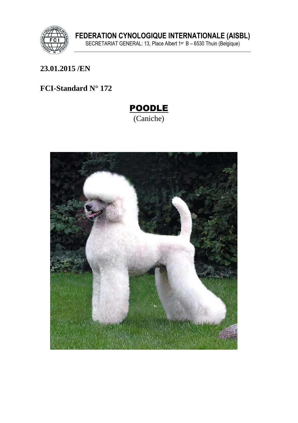

FEDERATION CYNOLOGIQUE INTERNATIONALE (AISBL)<br>SECRETARIAT GENERAL: 13, Place Albert 1<sup>er</sup> B – 6530 Thuin (Belgique)

23.01.2015/EN

FCI-Standard N° 172



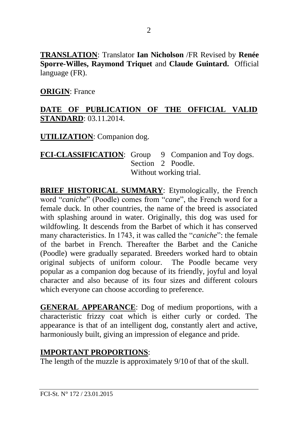**TRANSLATION**: Translator **Ian Nicholson** /FR Revised by **Renée Sporre-Willes, Raymond Triquet** and **Claude Guintard.** Official language (FR).

**ORIGIN**: France

#### **DATE OF PUBLICATION OF THE OFFICIAL VALID STANDARD**: 03.11.2014.

**UTILIZATION**: Companion dog.

**FCI-CLASSIFICATION:** Group 9 Companion and Toy dogs. Section 2 Poodle. Without working trial.

**BRIEF HISTORICAL SUMMARY**: Etymologically, the French word "*caniche*" (Poodle) comes from "*cane*", the French word for a female duck. In other countries, the name of the breed is associated with splashing around in water. Originally, this dog was used for wildfowling. It descends from the Barbet of which it has conserved many characteristics. In 1743, it was called the "*caniche*": the female of the barbet in French. Thereafter the Barbet and the Caniche (Poodle) were gradually separated. Breeders worked hard to obtain original subjects of uniform colour. The Poodle became very popular as a companion dog because of its friendly, joyful and loyal character and also because of its four sizes and different colours which everyone can choose according to preference.

**GENERAL APPEARANCE**: Dog of medium proportions, with a characteristic frizzy coat which is either curly or corded. The appearance is that of an intelligent dog, constantly alert and active, harmoniously built, giving an impression of elegance and pride.

#### **IMPORTANT PROPORTIONS**:

The length of the muzzle is approximately  $9/10$  of that of the skull.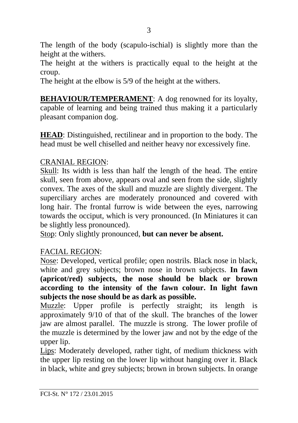The length of the body (scapulo-ischial) is slightly more than the height at the withers.

The height at the withers is practically equal to the height at the croup.

The height at the elbow is 5/9 of the height at the withers.

**BEHAVIOUR/TEMPERAMENT:** A dog renowned for its loyalty, capable of learning and being trained thus making it a particularly pleasant companion dog.

**HEAD**: Distinguished, rectilinear and in proportion to the body. The head must be well chiselled and neither heavy nor excessively fine.

#### CRANIAL REGION:

Skull: Its width is less than half the length of the head. The entire skull, seen from above, appears oval and seen from the side, slightly convex. The axes of the skull and muzzle are slightly divergent. The superciliary arches are moderately pronounced and covered with long hair. The frontal furrow is wide between the eyes, narrowing towards the occiput, which is very pronounced. (In Miniatures it can be slightly less pronounced).

Stop: Only slightly pronounced, **but can never be absent.**

#### FACIAL REGION:

Nose: Developed, vertical profile; open nostrils. Black nose in black, white and grey subjects; brown nose in brown subjects. **In fawn (apricot/red) subjects, the nose should be black or brown according to the intensity of the fawn colour. In light fawn subjects the nose should be as dark as possible.**

Muzzle: Upper profile is perfectly straight; its length is approximately 9/10 of that of the skull. The branches of the lower jaw are almost parallel. The muzzle is strong. The lower profile of the muzzle is determined by the lower jaw and not by the edge of the upper lip.

Lips: Moderately developed, rather tight, of medium thickness with the upper lip resting on the lower lip without hanging over it. Black in black, white and grey subjects; brown in brown subjects. In orange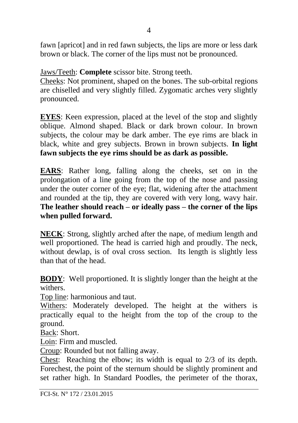fawn [apricot] and in red fawn subjects, the lips are more or less dark brown or black. The corner of the lips must not be pronounced.

Jaws/Teeth: **Complete** scissor bite. Strong teeth.

Cheeks: Not prominent, shaped on the bones. The sub-orbital regions are chiselled and very slightly filled. Zygomatic arches very slightly pronounced.

**EYES**: Keen expression, placed at the level of the stop and slightly oblique. Almond shaped. Black or dark brown colour. In brown subjects, the colour may be dark amber. The eye rims are black in black, white and grey subjects. Brown in brown subjects. **In light fawn subjects the eye rims should be as dark as possible.**

**EARS**: Rather long, falling along the cheeks, set on in the prolongation of a line going from the top of the nose and passing under the outer corner of the eye; flat, widening after the attachment and rounded at the tip, they are covered with very long, wavy hair. **The leather should reach – or ideally pass – the corner of the lips when pulled forward.** 

**NECK**: Strong, slightly arched after the nape, of medium length and well proportioned. The head is carried high and proudly. The neck, without dewlap, is of oval cross section. Its length is slightly less than that of the head.

**BODY**: Well proportioned. It is slightly longer than the height at the withers.

Top line: harmonious and taut.

Withers: Moderately developed. The height at the withers is practically equal to the height from the top of the croup to the ground.

Back: Short.

Loin: Firm and muscled.

Croup: Rounded but not falling away.

Chest: Reaching the elbow; its width is equal to 2/3 of its depth. Forechest, the point of the sternum should be slightly prominent and set rather high. In Standard Poodles, the perimeter of the thorax,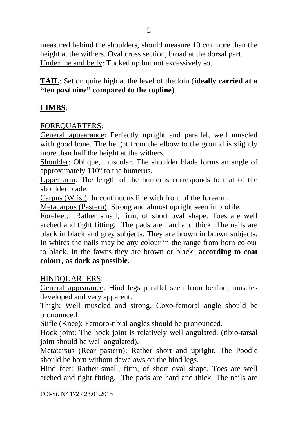measured behind the shoulders, should measure 10 cm more than the height at the withers. Oval cross section, broad at the dorsal part. Underline and belly: Tucked up but not excessively so.

**TAIL**: Set on quite high at the level of the loin (**ideally carried at a "ten past nine" compared to the topline**).

## **LIMBS**:

#### FOREQUARTERS:

General appearance: Perfectly upright and parallel, well muscled with good bone. The height from the elbow to the ground is slightly more than half the height at the withers.

Shoulder: Oblique, muscular. The shoulder blade forms an angle of approximately 110° to the humerus.

Upper arm: The length of the humerus corresponds to that of the shoulder blade.

Carpus (Wrist): In continuous line with front of the forearm.

Metacarpus (Pastern): Strong and almost upright seen in profile.

Forefeet: Rather small, firm, of short oval shape. Toes are well arched and tight fitting. The pads are hard and thick. The nails are black in black and grey subjects. They are brown in brown subjects. In whites the nails may be any colour in the range from horn colour to black. In the fawns they are brown or black; **according to coat colour, as dark as possible.**

#### HINDQUARTERS:

General appearance: Hind legs parallel seen from behind; muscles developed and very apparent.

Thigh: Well muscled and strong. Coxo-femoral angle should be pronounced.

Stifle (Knee): Femoro-tibial angles should be pronounced.

Hock joint: The hock joint is relatively well angulated. (tibio-tarsal joint should be well angulated).

Metatarsus (Rear pastern): Rather short and upright. The Poodle should be born without dewclaws on the hind legs.

Hind feet: Rather small, firm, of short oval shape. Toes are well arched and tight fitting. The pads are hard and thick. The nails are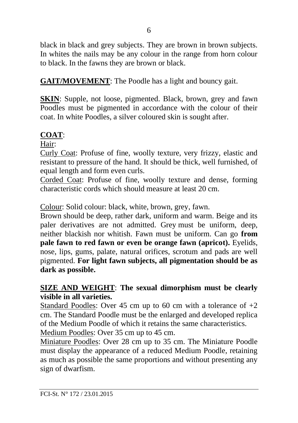black in black and grey subjects. They are brown in brown subjects. In whites the nails may be any colour in the range from horn colour to black. In the fawns they are brown or black.

**GAIT/MOVEMENT**: The Poodle has a light and bouncy gait.

**SKIN**: Supple, not loose, pigmented. Black, brown, grey and fawn Poodles must be pigmented in accordance with the colour of their coat. In white Poodles, a silver coloured skin is sought after.

### **COAT**:

Hair:

Curly Coat: Profuse of fine, woolly texture, very frizzy, elastic and resistant to pressure of the hand. It should be thick, well furnished, of equal length and form even curls.

Corded Coat: Profuse of fine, woolly texture and dense, forming characteristic cords which should measure at least 20 cm.

Colour: Solid colour: black, white, brown, grey, fawn.

Brown should be deep, rather dark, uniform and warm. Beige and its paler derivatives are not admitted. Grey must be uniform, deep, neither blackish nor whitish. Fawn must be uniform. Can go **from pale fawn to red fawn or even be orange fawn (apricot).** Eyelids, nose, lips, gums, palate, natural orifices, scrotum and pads are well pigmented. **For light fawn subjects, all pigmentation should be as dark as possible.**

#### **SIZE AND WEIGHT**: **The sexual dimorphism must be clearly visible in all varieties.**

Standard Poodles: Over 45 cm up to 60 cm with a tolerance of  $+2$ cm. The Standard Poodle must be the enlarged and developed replica of the Medium Poodle of which it retains the same characteristics.

Medium Poodles: Over 35 cm up to 45 cm.

Miniature Poodles: Over 28 cm up to 35 cm. The Miniature Poodle must display the appearance of a reduced Medium Poodle, retaining as much as possible the same proportions and without presenting any sign of dwarfism.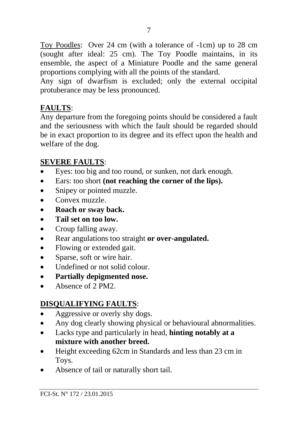Toy Poodles: Over 24 cm (with a tolerance of -1cm) up to 28 cm (sought after ideal: 25 cm). The Toy Poodle maintains, in its ensemble, the aspect of a Miniature Poodle and the same general proportions complying with all the points of the standard.

Any sign of dwarfism is excluded; only the external occipital protuberance may be less pronounced.

## **FAULTS**:

Any departure from the foregoing points should be considered a fault and the seriousness with which the fault should be regarded should be in exact proportion to its degree and its effect upon the health and welfare of the dog.

## **SEVERE FAULTS**:

- Eyes: too big and too round, or sunken, not dark enough.
- Ears: too short **(not reaching the corner of the lips).**
- Snipey or pointed muzzle.
- Convex muzzle.
- **Roach or sway back.**
- **Tail set on too low.**
- Croup falling away.
- Rear angulations too straight **or over-angulated.**
- Flowing or extended gait.
- Sparse, soft or wire hair.
- Undefined or not solid colour.
- **Partially depigmented nose.**
- Absence of 2 PM2.

# **DISQUALIFYING FAULTS**:

- Aggressive or overly shy dogs.
- Any dog clearly showing physical or behavioural abnormalities.
- Lacks type and particularly in head, **hinting notably at a mixture with another breed.**
- Height exceeding 62cm in Standards and less than 23 cm in Toys.
- Absence of tail or naturally short tail.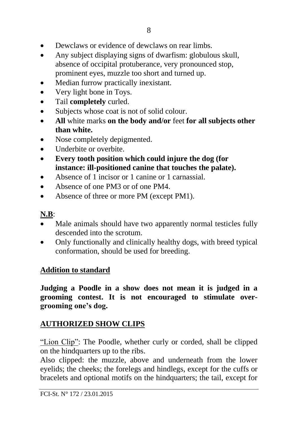- Dewclaws or evidence of dewclaws on rear limbs.
- Any subject displaying signs of dwarfism: globulous skull, absence of occipital protuberance, very pronounced stop, prominent eyes, muzzle too short and turned up.
- Median furrow practically inexistant.
- Very light bone in Toys.
- Tail **completely** curled.
- Subjects whose coat is not of solid colour.
- **All** white marks **on the body and/or** feet **for all subjects other than white.**
- Nose completely depigmented.
- Underbite or overbite.
- **Every tooth position which could injure the dog (for instance: ill-positioned canine that touches the palate).**
- Absence of 1 incisor or 1 canine or 1 carnassial.
- Absence of one PM3 or of one PM4.
- Absence of three or more PM (except PM1).

### **N.B**:

- Male animals should have two apparently normal testicles fully descended into the scrotum.
- Only functionally and clinically healthy dogs, with breed typical conformation, should be used for breeding.

#### **Addition to standard**

**Judging a Poodle in a show does not mean it is judged in a grooming contest. It is not encouraged to stimulate overgrooming one's dog.** 

### **AUTHORIZED SHOW CLIPS**

"Lion Clip": The Poodle, whether curly or corded, shall be clipped on the hindquarters up to the ribs.

Also clipped: the muzzle, above and underneath from the lower eyelids; the cheeks; the forelegs and hindlegs, except for the cuffs or bracelets and optional motifs on the hindquarters; the tail, except for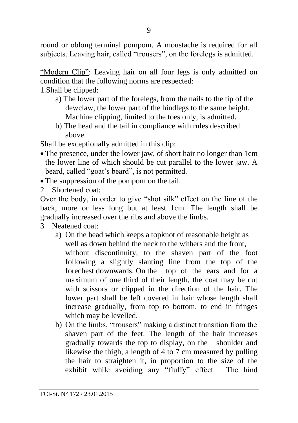9

round or oblong terminal pompom. A moustache is required for all subjects. Leaving hair, called "trousers", on the forelegs is admitted.

"Modern Clip": Leaving hair on all four legs is only admitted on condition that the following norms are respected:

1.Shall be clipped:

- a) The lower part of the forelegs, from the nails to the tip of the dewclaw, the lower part of the hindlegs to the same height. Machine clipping, limited to the toes only, is admitted.
- b) The head and the tail in compliance with rules described above.

Shall be exceptionally admitted in this clip:

- The presence, under the lower jaw, of short hair no longer than 1cm the lower line of which should be cut parallel to the lower jaw. A beard, called "goat's beard", is not permitted.
- The suppression of the pompom on the tail.

2. Shortened coat:

Over the body, in order to give "shot silk" effect on the line of the back, more or less long but at least 1cm. The length shall be gradually increased over the ribs and above the limbs.

- 3. Neatened coat:
	- a) On the head which keeps a topknot of reasonable height as well as down behind the neck to the withers and the front, without discontinuity, to the shaven part of the foot following a slightly slanting line from the top of the forechest downwards. On the top of the ears and for a maximum of one third of their length, the coat may be cut with scissors or clipped in the direction of the hair. The lower part shall be left covered in hair whose length shall increase gradually, from top to bottom, to end in fringes which may be levelled.
	- b) On the limbs, "trousers" making a distinct transition from the shaven part of the feet. The length of the hair increases gradually towards the top to display, on the shoulder and likewise the thigh, a length of 4 to 7 cm measured by pulling the hair to straighten it, in proportion to the size of the exhibit while avoiding any "fluffy" effect. The hind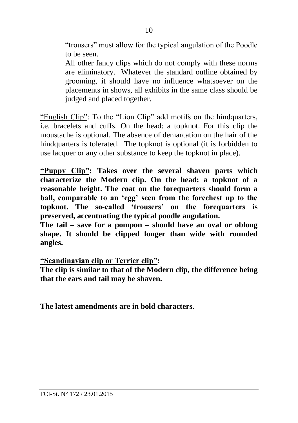"trousers" must allow for the typical angulation of the Poodle to be seen.

All other fancy clips which do not comply with these norms are eliminatory. Whatever the standard outline obtained by grooming, it should have no influence whatsoever on the placements in shows, all exhibits in the same class should be judged and placed together.

"English Clip": To the "Lion Clip" add motifs on the hindquarters, i.e. bracelets and cuffs. On the head: a topknot. For this clip the moustache is optional. The absence of demarcation on the hair of the hindquarters is tolerated. The topknot is optional (it is forbidden to use lacquer or any other substance to keep the topknot in place).

**"Puppy Clip": Takes over the several shaven parts which characterize the Modern clip. On the head: a topknot of a reasonable height. The coat on the forequarters should form a ball, comparable to an 'egg' seen from the forechest up to the topknot. The so-called 'trousers' on the forequarters is preserved, accentuating the typical poodle angulation.** 

**The tail – save for a pompon – should have an oval or oblong shape. It should be clipped longer than wide with rounded angles.** 

**"Scandinavian clip or Terrier clip":**

**The clip is similar to that of the Modern clip, the difference being that the ears and tail may be shaven.**

**The latest amendments are in bold characters.**